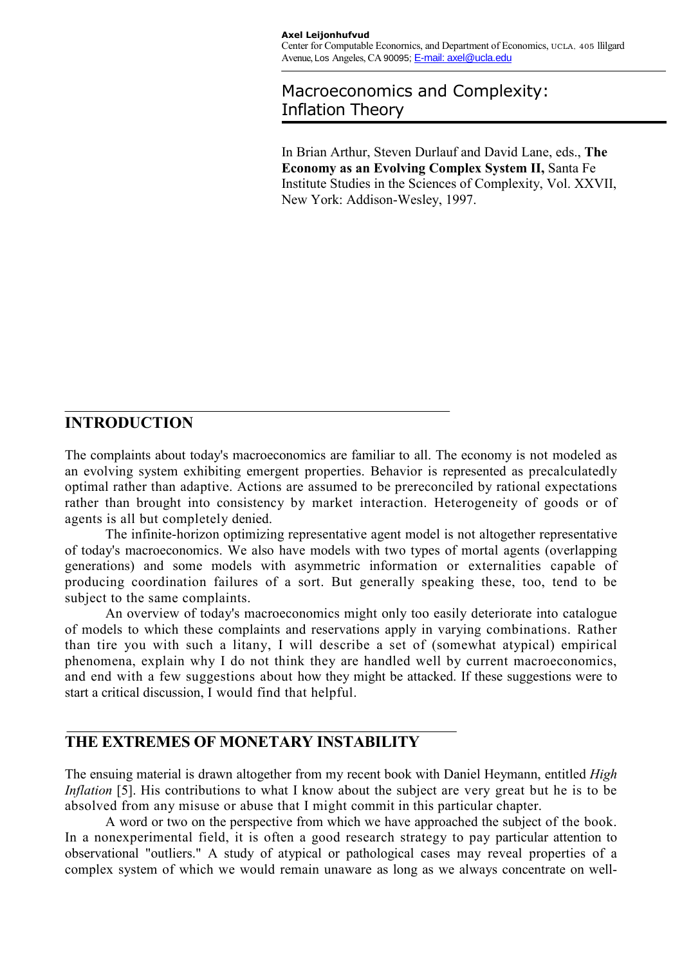# Macroeconomics and Complexity: Inflation Theory

In Brian Arthur, Steven Durlauf and David Lane, eds., The Economy as an Evolving Complex System II, Santa Fe Institute Studies in the Sciences of Complexity, Vol. XXVII, New York: Addison-Wesley, 1997.

## INTRODUCTION

The complaints about today's macroeconomics are familiar to all. The economy is not modeled as an evolving system exhibiting emergent properties. Behavior is represented as precalculatedly optimal rather than adaptive. Actions are assumed to be prereconciled by rational expectations rather than brought into consistency by market interaction. Heterogeneity of goods or of agents is all but completely denied.

The infinite-horizon optimizing representative agent model is not altogether representative of today's macroeconomics. We also have models with two types of mortal agents (overlapping generations) and some models with asymmetric information or externalities capable of producing coordination failures of a sort. But generally speaking these, too, tend to be subject to the same complaints.

An overview of today's macroeconomics might only too easily deteriorate into catalogue of models to which these complaints and reservations apply in varying combinations. Rather than tire you with such a litany, I will describe a set of (somewhat atypical) empirical phenomena, explain why I do not think they are handled well by current macroeconomics, and end with a few suggestions about how they might be attacked. If these suggestions were to start a critical discussion, I would find that helpful.

## THE EXTREMES OF MONETARY INSTABILITY

The ensuing material is drawn altogether from my recent book with Daniel Heymann, entitled *High* Inflation [5]. His contributions to what I know about the subject are very great but he is to be absolved from any misuse or abuse that I might commit in this particular chapter.

A word or two on the perspective from which we have approached the subject of the book. In a nonexperimental field, it is often a good research strategy to pay particular attention to observational "outliers." A study of atypical or pathological cases may reveal properties of a complex system of which we would remain unaware as long as we always concentrate on well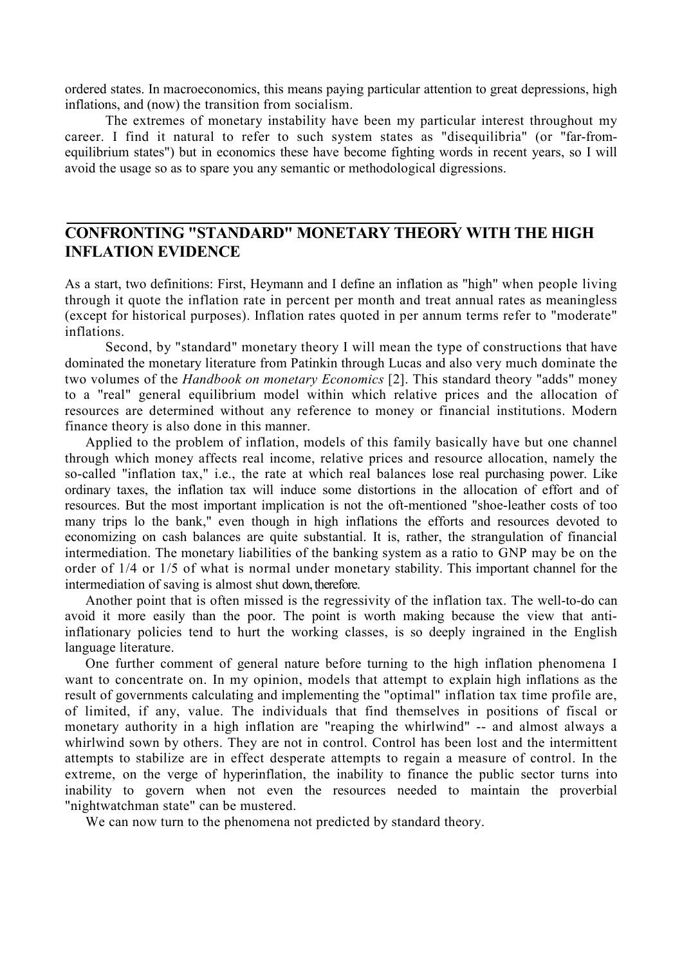ordered states. In macroeconomics, this means paying particular attention to great depressions, high inflations, and (now) the transition from socialism.

The extremes of monetary instability have been my particular interest throughout my career. I find it natural to refer to such system states as "disequilibria" (or "far-fromequilibrium states") but in economics these have become fighting words in recent years, so I will avoid the usage so as to spare you any semantic or methodological digressions.

## CONFRONTING "STANDARD" MONETARY THEORY WITH THE HIGH INFLATION EVIDENCE

As a start, two definitions: First, Heymann and I define an inflation as "high" when people living through it quote the inflation rate in percent per month and treat annual rates as meaningless (except for historical purposes). Inflation rates quoted in per annum terms refer to "moderate" inflations.

Second, by "standard" monetary theory I will mean the type of constructions that have dominated the monetary literature from Patinkin through Lucas and also very much dominate the two volumes of the *Handbook on monetary Economics* [2]. This standard theory "adds" money to a "real" general equilibrium model within which relative prices and the allocation of resources are determined without any reference to money or financial institutions. Modern finance theory is also done in this manner.

Applied to the problem of inflation, models of this family basically have but one channel through which money affects real income, relative prices and resource allocation, namely the so-called "inflation tax," i.e., the rate at which real balances lose real purchasing power. Like ordinary taxes, the inflation tax will induce some distortions in the allocation of effort and of resources. But the most important implication is not the oft-mentioned "shoe-leather costs of too many trips lo the bank," even though in high inflations the efforts and resources devoted to economizing on cash balances are quite substantial. It is, rather, the strangulation of financial intermediation. The monetary liabilities of the banking system as a ratio to GNP may be on the order of 1/4 or 1/5 of what is normal under monetary stability. This important channel for the intermediation of saving is almost shut down, therefore.

Another point that is often missed is the regressivity of the inflation tax. The well-to-do can avoid it more easily than the poor. The point is worth making because the view that antiinflationary policies tend to hurt the working classes, is so deeply ingrained in the English language literature.

One further comment of general nature before turning to the high inflation phenomena I want to concentrate on. In my opinion, models that attempt to explain high inflations as the result of governments calculating and implementing the "optimal" inflation tax time profile are, of limited, if any, value. The individuals that find themselves in positions of fiscal or monetary authority in a high inflation are "reaping the whirlwind" -- and almost always a whirlwind sown by others. They are not in control. Control has been lost and the intermittent attempts to stabilize are in effect desperate attempts to regain a measure of control. In the extreme, on the verge of hyperinflation, the inability to finance the public sector turns into inability to govern when not even the resources needed to maintain the proverbial "nightwatchman state" can be mustered.

We can now turn to the phenomena not predicted by standard theory.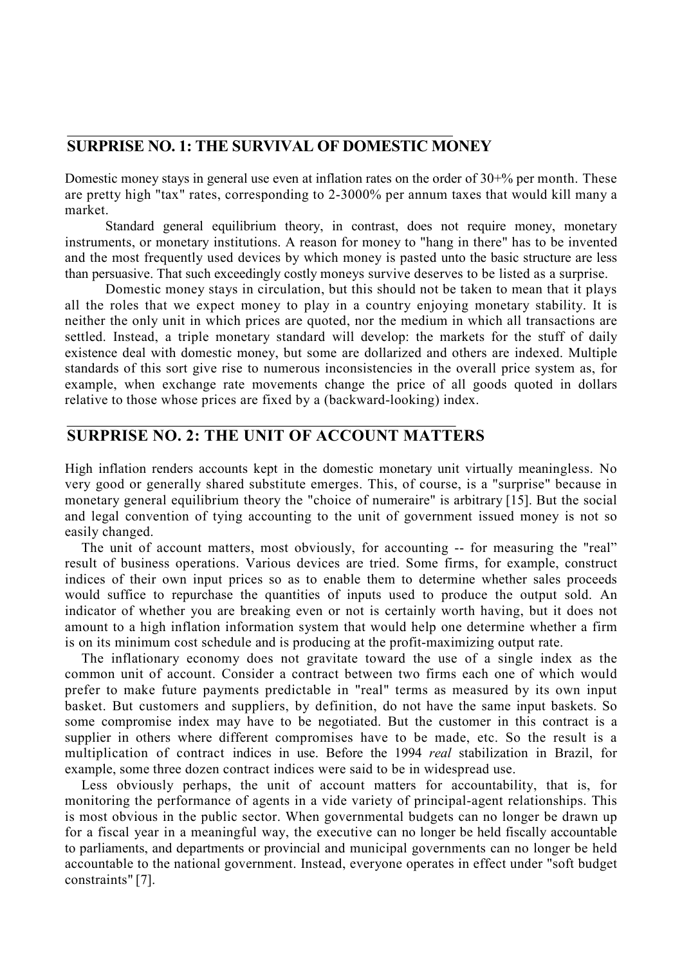### SURPRISE NO. 1: THE SURVIVAL OF DOMESTIC MONEY

Domestic money stays in general use even at inflation rates on the order of 30+% per month. These are pretty high "tax" rates, corresponding to 2-3000% per annum taxes that would kill many a market.

Standard general equilibrium theory, in contrast, does not require money, monetary instruments, or monetary institutions. A reason for money to "hang in there" has to be invented and the most frequently used devices by which money is pasted unto the basic structure are less than persuasive. That such exceedingly costly moneys survive deserves to be listed as a surprise.

Domestic money stays in circulation, but this should not be taken to mean that it plays all the roles that we expect money to play in a country enjoying monetary stability. It is neither the only unit in which prices are quoted, nor the medium in which all transactions are settled. Instead, a triple monetary standard will develop: the markets for the stuff of daily existence deal with domestic money, but some are dollarized and others are indexed. Multiple standards of this sort give rise to numerous inconsistencies in the overall price system as, for example, when exchange rate movements change the price of all goods quoted in dollars relative to those whose prices are fixed by a (backward-looking) index.

## SURPRISE NO. 2: THE UNIT OF ACCOUNT MATTERS

High inflation renders accounts kept in the domestic monetary unit virtually meaningless. No very good or generally shared substitute emerges. This, of course, is a "surprise" because in monetary general equilibrium theory the "choice of numeraire" is arbitrary [15]. But the social and legal convention of tying accounting to the unit of government issued money is not so easily changed.

The unit of account matters, most obviously, for accounting -- for measuring the "real" result of business operations. Various devices are tried. Some firms, for example, construct indices of their own input prices so as to enable them to determine whether sales proceeds would suffice to repurchase the quantities of inputs used to produce the output sold. An indicator of whether you are breaking even or not is certainly worth having, but it does not amount to a high inflation information system that would help one determine whether a firm is on its minimum cost schedule and is producing at the profit-maximizing output rate.

The inflationary economy does not gravitate toward the use of a single index as the common unit of account. Consider a contract between two firms each one of which would prefer to make future payments predictable in "real" terms as measured by its own input basket. But customers and suppliers, by definition, do not have the same input baskets. So some compromise index may have to be negotiated. But the customer in this contract is a supplier in others where different compromises have to be made, etc. So the result is a multiplication of contract indices in use. Before the 1994 real stabilization in Brazil, for example, some three dozen contract indices were said to be in widespread use.

Less obviously perhaps, the unit of account matters for accountability, that is, for monitoring the performance of agents in a vide variety of principal-agent relationships. This is most obvious in the public sector. When governmental budgets can no longer be drawn up for a fiscal year in a meaningful way, the executive can no longer be held fiscally accountable to parliaments, and departments or provincial and municipal governments can no longer be held accountable to the national government. Instead, everyone operates in effect under "soft budget constraints" [7].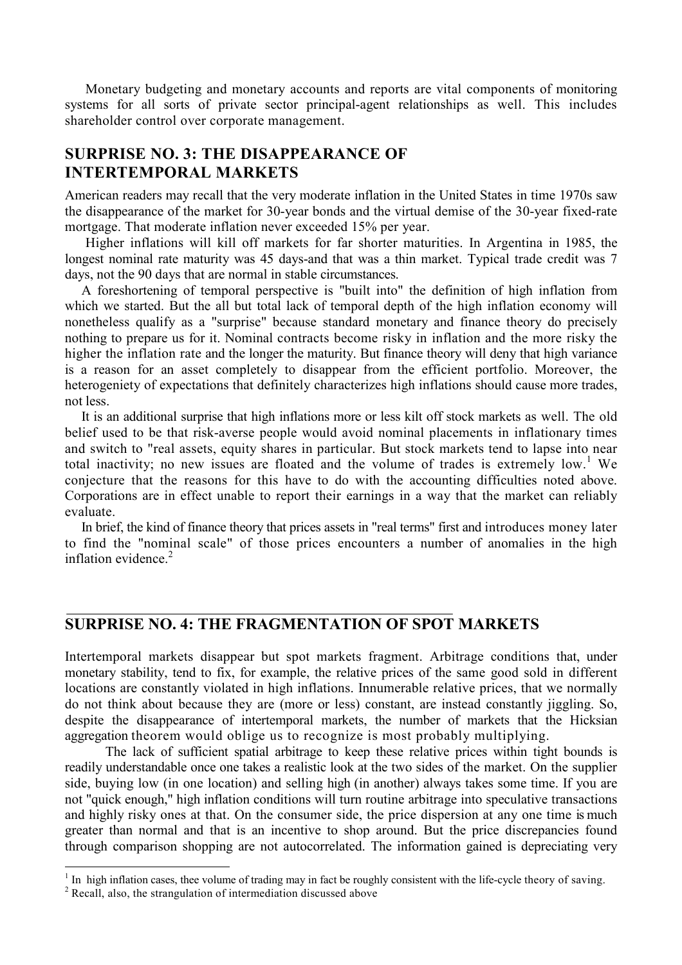Monetary budgeting and monetary accounts and reports are vital components of monitoring systems for all sorts of private sector principal-agent relationships as well. This includes shareholder control over corporate management.

## SURPRISE NO. 3: THE DISAPPEARANCE OF INTERTEMPORAL MARKETS

American readers may recall that the very moderate inflation in the United States in time 1970s saw the disappearance of the market for 30-year bonds and the virtual demise of the 30-year fixed-rate mortgage. That moderate inflation never exceeded 15% per year.

Higher inflations will kill off markets for far shorter maturities. In Argentina in 1985, the longest nominal rate maturity was 45 days-and that was a thin market. Typical trade credit was 7 days, not the 90 days that are normal in stable circumstances.

A foreshortening of temporal perspective is "built into" the definition of high inflation from which we started. But the all but total lack of temporal depth of the high inflation economy will nonetheless qualify as a "surprise" because standard monetary and finance theory do precisely nothing to prepare us for it. Nominal contracts become risky in inflation and the more risky the higher the inflation rate and the longer the maturity. But finance theory will deny that high variance is a reason for an asset completely to disappear from the efficient portfolio. Moreover, the heterogeniety of expectations that definitely characterizes high inflations should cause more trades, not less.

It is an additional surprise that high inflations more or less kilt off stock markets as well. The old belief used to be that risk-averse people would avoid nominal placements in inflationary times and switch to "real assets, equity shares in particular. But stock markets tend to lapse into near total inactivity; no new issues are floated and the volume of trades is extremely low.<sup>1</sup> We conjecture that the reasons for this have to do with the accounting difficulties noted above. Corporations are in effect unable to report their earnings in a way that the market can reliably evaluate.

In brief, the kind of finance theory that prices assets in "real terms" first and introduces money later to find the "nominal scale" of those prices encounters a number of anomalies in the high inflation evidence. $2$ 

## SURPRISE NO. 4: THE FRAGMENTATION OF SPOT MARKETS

Intertemporal markets disappear but spot markets fragment. Arbitrage conditions that, under monetary stability, tend to fix, for example, the relative prices of the same good sold in different locations are constantly violated in high inflations. Innumerable relative prices, that we normally do not think about because they are (more or less) constant, are instead constantly jiggling. So, despite the disappearance of intertemporal markets, the number of markets that the Hicksian aggregation theorem would oblige us to recognize is most probably multiplying.

The lack of sufficient spatial arbitrage to keep these relative prices within tight bounds is readily understandable once one takes a realistic look at the two sides of the market. On the supplier side, buying low (in one location) and selling high (in another) always takes some time. If you are not "quick enough," high inflation conditions will turn routine arbitrage into speculative transactions and highly risky ones at that. On the consumer side, the price dispersion at any one time is much greater than normal and that is an incentive to shop around. But the price discrepancies found through comparison shopping are not autocorrelated. The information gained is depreciating very

<sup>&</sup>lt;sup>1</sup> In high inflation cases, thee volume of trading may in fact be roughly consistent with the life-cycle theory of saving.

 $2$  Recall, also, the strangulation of intermediation discussed above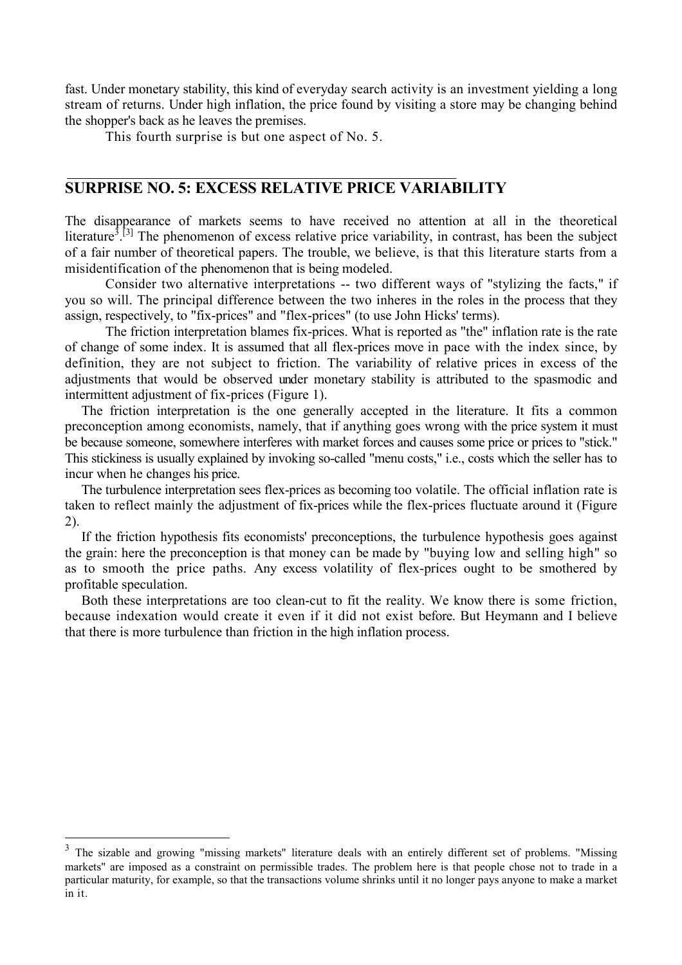fast. Under monetary stability, this kind of everyday search activity is an investment yielding a long stream of returns. Under high inflation, the price found by visiting a store may be changing behind the shopper's back as he leaves the premises.

This fourth surprise is but one aspect of No. 5.

## SURPRISE NO. 5: EXCESS RELATIVE PRICE VARIABILITY

The disappearance of markets seems to have received no attention at all in the theoretical literature<sup>3[3]</sup> The phenomenon of excess relative price variability, in contrast, has been the subject of a fair number of theoretical papers. The trouble, we believe, is that this literature starts from a misidentification of the phenomenon that is being modeled.

Consider two alternative interpretations -- two different ways of "stylizing the facts," if you so will. The principal difference between the two inheres in the roles in the process that they assign, respectively, to "fix-prices" and "flex-prices" (to use John Hicks' terms).

The friction interpretation blames fix-prices. What is reported as "the" inflation rate is the rate of change of some index. It is assumed that all flex-prices move in pace with the index since, by definition, they are not subject to friction. The variability of relative prices in excess of the adjustments that would be observed under monetary stability is attributed to the spasmodic and intermittent adjustment of fix-prices (Figure 1).

The friction interpretation is the one generally accepted in the literature. It fits a common preconception among economists, namely, that if anything goes wrong with the price system it must be because someone, somewhere interferes with market forces and causes some price or prices to "stick." This stickiness is usually explained by invoking so-called "menu costs," i.e., costs which the seller has to incur when he changes his price.

The turbulence interpretation sees flex-prices as becoming too volatile. The official inflation rate is taken to reflect mainly the adjustment of fix-prices while the flex-prices fluctuate around it (Figure 2).

If the friction hypothesis fits economists' preconceptions, the turbulence hypothesis goes against the grain: here the preconception is that money can be made by "buying low and selling high" so as to smooth the price paths. Any excess volatility of flex-prices ought to be smothered by profitable speculation.

Both these interpretations are too clean-cut to fit the reality. We know there is some friction, because indexation would create it even if it did not exist before. But Heymann and I believe that there is more turbulence than friction in the high inflation process.

 $3$  The sizable and growing "missing markets" literature deals with an entirely different set of problems. "Missing markets" are imposed as a constraint on permissible trades. The problem here is that people chose not to trade in a particular maturity, for example, so that the transactions volume shrinks until it no longer pays anyone to make a market in it.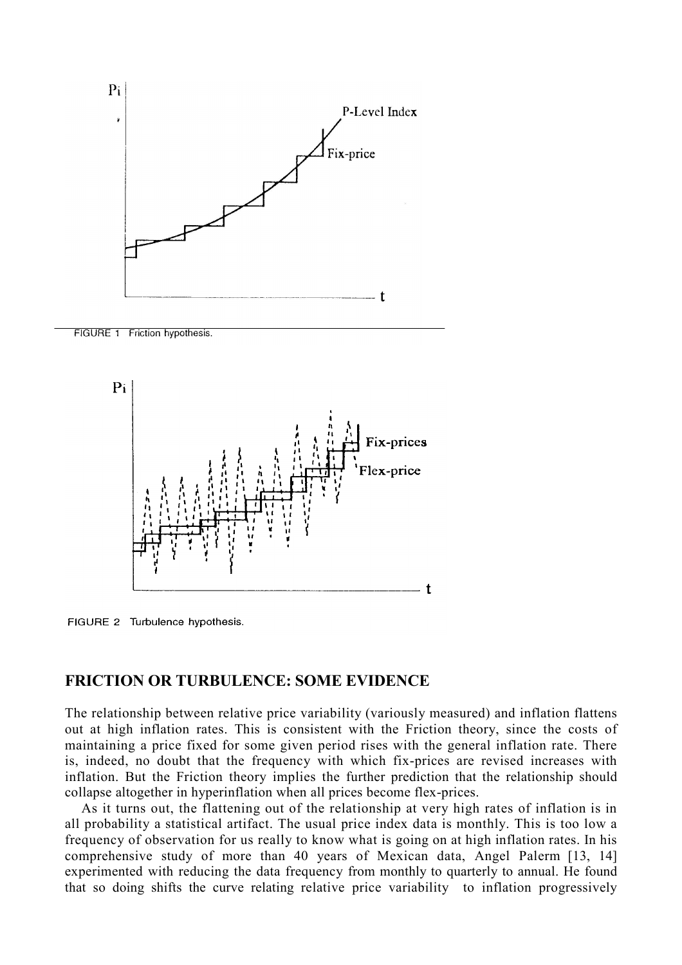

FIGURE 1 Friction hypothesis.



FIGURE 2 Turbulence hypothesis.

#### FRICTION OR TURBULENCE: SOME EVIDENCE

The relationship between relative price variability (variously measured) and inflation flattens out at high inflation rates. This is consistent with the Friction theory, since the costs of maintaining a price fixed for some given period rises with the general inflation rate. There is, indeed, no doubt that the frequency with which fix-prices are revised increases with inflation. But the Friction theory implies the further prediction that the relationship should collapse altogether in hyperinflation when all prices become flex-prices.

As it turns out, the flattening out of the relationship at very high rates of inflation is in all probability a statistical artifact. The usual price index data is monthly. This is too low a frequency of observation for us really to know what is going on at high inflation rates. In his comprehensive study of more than 40 years of Mexican data, Angel Palerm [13, 14] experimented with reducing the data frequency from monthly to quarterly to annual. He found that so doing shifts the curve relating relative price variability to inflation progressively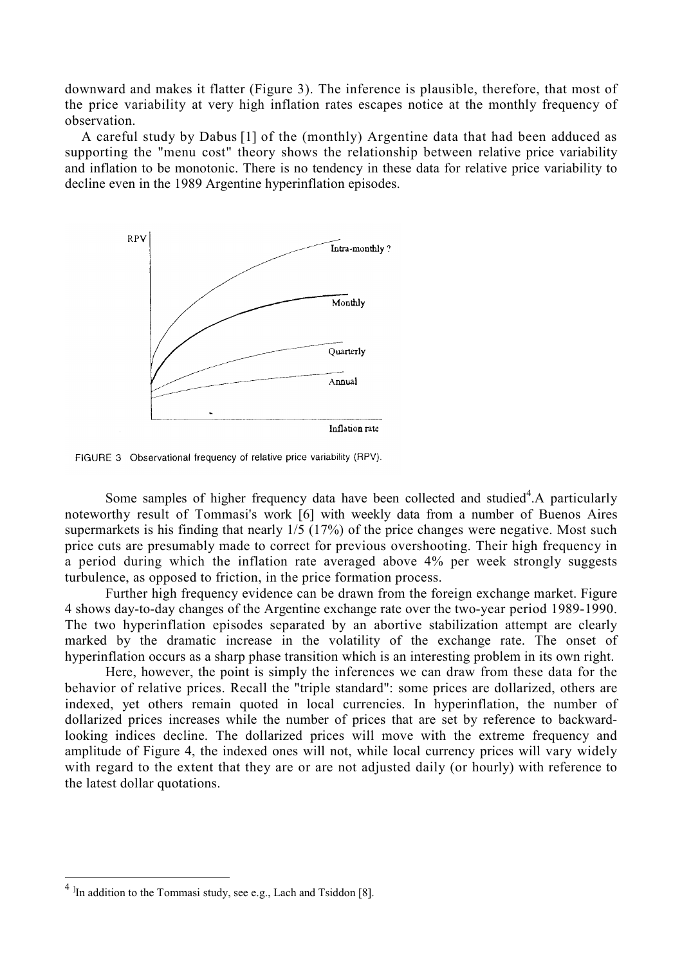downward and makes it flatter (Figure 3). The inference is plausible, therefore, that most of the price variability at very high inflation rates escapes notice at the monthly frequency of observation.

A careful study by Dabus [1] of the (monthly) Argentine data that had been adduced as supporting the "menu cost" theory shows the relationship between relative price variability and inflation to be monotonic. There is no tendency in these data for relative price variability to decline even in the 1989 Argentine hyperinflation episodes.



FIGURE 3 Observational frequency of relative price variability (RPV).

Some samples of higher frequency data have been collected and studied<sup>4</sup>.A particularly noteworthy result of Tommasi's work [6] with weekly data from a number of Buenos Aires supermarkets is his finding that nearly  $1/5$  (17%) of the price changes were negative. Most such price cuts are presumably made to correct for previous overshooting. Their high frequency in a period during which the inflation rate averaged above 4% per week strongly suggests turbulence, as opposed to friction, in the price formation process.

Further high frequency evidence can be drawn from the foreign exchange market. Figure 4 shows day-to-day changes of the Argentine exchange rate over the two-year period 1989-1990. The two hyperinflation episodes separated by an abortive stabilization attempt are clearly marked by the dramatic increase in the volatility of the exchange rate. The onset of hyperinflation occurs as a sharp phase transition which is an interesting problem in its own right.

Here, however, the point is simply the inferences we can draw from these data for the behavior of relative prices. Recall the "triple standard": some prices are dollarized, others are indexed, yet others remain quoted in local currencies. In hyperinflation, the number of dollarized prices increases while the number of prices that are set by reference to backwardlooking indices decline. The dollarized prices will move with the extreme frequency and amplitude of Figure 4, the indexed ones will not, while local currency prices will vary widely with regard to the extent that they are or are not adjusted daily (or hourly) with reference to the latest dollar quotations.

 $^{4}$  <sup>1</sup>In addition to the Tommasi study, see e.g., Lach and Tsiddon [8].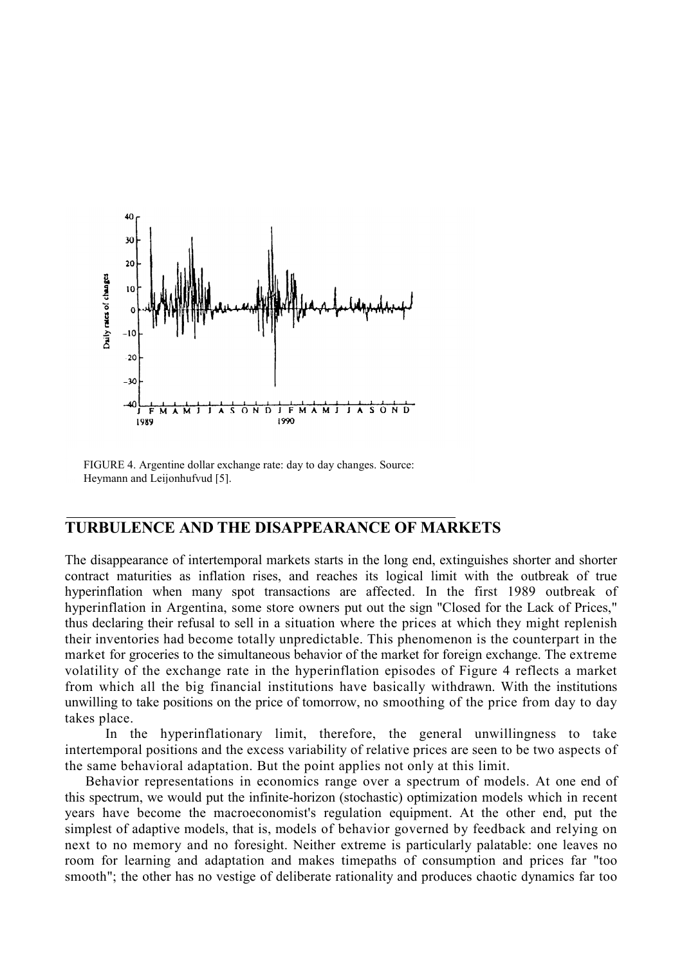

[5] FIGURE 4. Argentine dollar exchange rate: day to day changes. Source: Heymann and Leijonhufvud [5].

### TURBULENCE AND THE DISAPPEARANCE OF MARKETS

The disappearance of intertemporal markets starts in the long end, extinguishes shorter and shorter contract maturities as inflation rises, and reaches its logical limit with the outbreak of true hyperinflation when many spot transactions are affected. In the first 1989 outbreak of hyperinflation in Argentina, some store owners put out the sign "Closed for the Lack of Prices," thus declaring their refusal to sell in a situation where the prices at which they might replenish their inventories had become totally unpredictable. This phenomenon is the counterpart in the market for groceries to the simultaneous behavior of the market for foreign exchange. The extreme volatility of the exchange rate in the hyperinflation episodes of Figure 4 reflects a market from which all the big financial institutions have basically withdrawn. With the institutions unwilling to take positions on the price of tomorrow, no smoothing of the price from day to day takes place.

In the hyperinflationary limit, therefore, the general unwillingness to take intertemporal positions and the excess variability of relative prices are seen to be two aspects of the same behavioral adaptation. But the point applies not only at this limit.

Behavior representations in economics range over a spectrum of models. At one end of this spectrum, we would put the infinite-horizon (stochastic) optimization models which in recent years have become the macroeconomist's regulation equipment. At the other end, put the simplest of adaptive models, that is, models of behavior governed by feedback and relying on next to no memory and no foresight. Neither extreme is particularly palatable: one leaves no room for learning and adaptation and makes timepaths of consumption and prices far "too smooth"; the other has no vestige of deliberate rationality and produces chaotic dynamics far too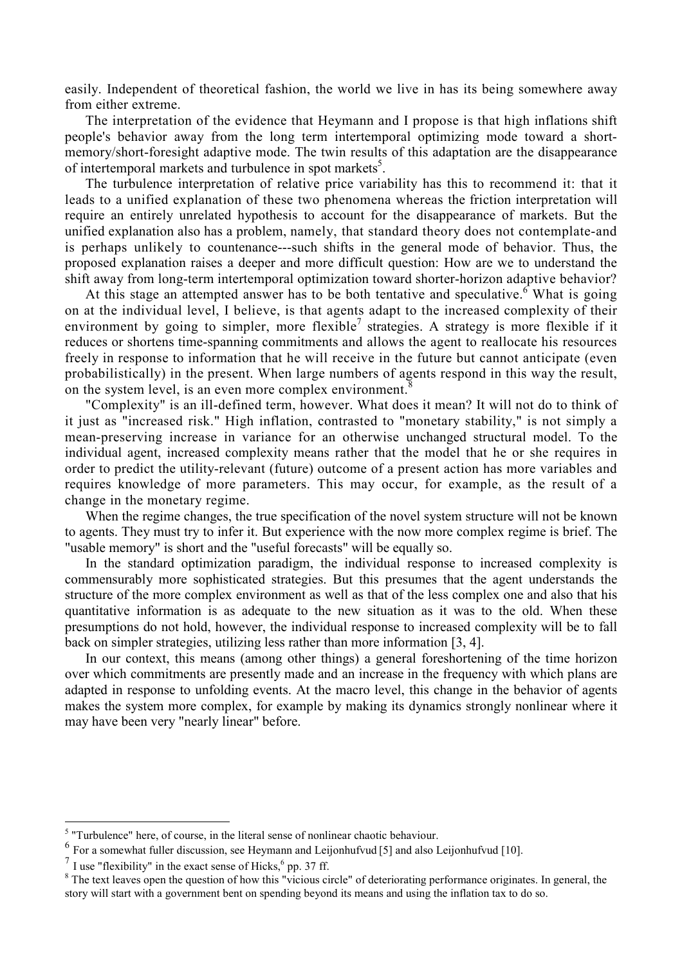easily. Independent of theoretical fashion, the world we live in has its being somewhere away from either extreme.

The interpretation of the evidence that Heymann and I propose is that high inflations shift people's behavior away from the long term intertemporal optimizing mode toward a shortmemory/short-foresight adaptive mode. The twin results of this adaptation are the disappearance of intertemporal markets and turbulence in spot markets<sup>5</sup>.

The turbulence interpretation of relative price variability has this to recommend it: that it leads to a unified explanation of these two phenomena whereas the friction interpretation will require an entirely unrelated hypothesis to account for the disappearance of markets. But the unified explanation also has a problem, namely, that standard theory does not contemplate-and is perhaps unlikely to countenance---such shifts in the general mode of behavior. Thus, the proposed explanation raises a deeper and more difficult question: How are we to understand the shift away from long-term intertemporal optimization toward shorter-horizon adaptive behavior?

At this stage an attempted answer has to be both tentative and speculative. What is going on at the individual level, I believe, is that agents adapt to the increased complexity of their environment by going to simpler, more flexible<sup>7</sup> strategies. A strategy is more flexible if it reduces or shortens time-spanning commitments and allows the agent to reallocate his resources freely in response to information that he will receive in the future but cannot anticipate (even probabilistically) in the present. When large numbers of agents respond in this way the result, on the system level, is an even more complex environment.<sup>8</sup>

"Complexity" is an ill-defined term, however. What does it mean? It will not do to think of it just as "increased risk." High inflation, contrasted to "monetary stability," is not simply a mean-preserving increase in variance for an otherwise unchanged structural model. To the individual agent, increased complexity means rather that the model that he or she requires in order to predict the utility-relevant (future) outcome of a present action has more variables and requires knowledge of more parameters. This may occur, for example, as the result of a change in the monetary regime.

When the regime changes, the true specification of the novel system structure will not be known to agents. They must try to infer it. But experience with the now more complex regime is brief. The "usable memory" is short and the "useful forecasts" will be equally so.

In the standard optimization paradigm, the individual response to increased complexity is commensurably more sophisticated strategies. But this presumes that the agent understands the structure of the more complex environment as well as that of the less complex one and also that his quantitative information is as adequate to the new situation as it was to the old. When these presumptions do not hold, however, the individual response to increased complexity will be to fall back on simpler strategies, utilizing less rather than more information [3, 4].

In our context, this means (among other things) a general foreshortening of the time horizon over which commitments are presently made and an increase in the frequency with which plans are adapted in response to unfolding events. At the macro level, this change in the behavior of agents makes the system more complex, for example by making its dynamics strongly nonlinear where it may have been very "nearly linear" before.

<sup>&</sup>lt;sup>5</sup> "Turbulence" here, of course, in the literal sense of nonlinear chaotic behaviour.

 $<sup>6</sup>$  For a somewhat fuller discussion, see Heymann and Leijonhufvud [5] and also Leijonhufvud [10].</sup>

 $<sup>7</sup>$  I use "flexibility" in the exact sense of Hicks,  $<sup>6</sup>$  pp. 37 ff.</sup></sup>

<sup>&</sup>lt;sup>8</sup> The text leaves open the question of how this "vicious circle" of deteriorating performance originates. In general, the story will start with a government bent on spending beyond its means and using the inflation tax to do so.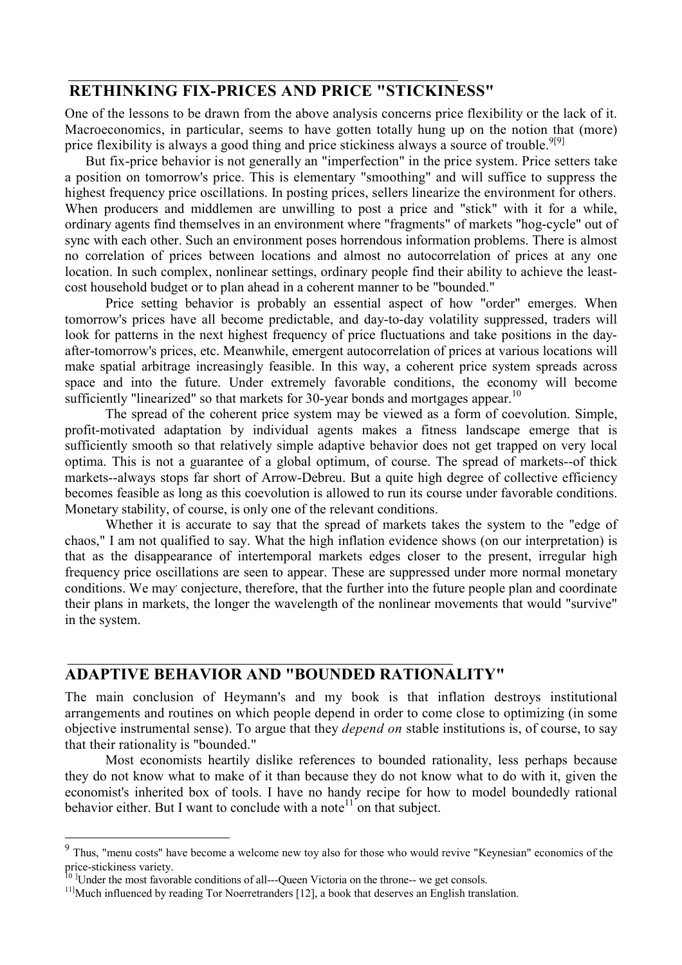### RETHINKING FIX-PRICES AND PRICE "STICKINESS"

One of the lessons to be drawn from the above analysis concerns price flexibility or the lack of it. Macroeconomics, in particular, seems to have gotten totally hung up on the notion that (more) price flexibility is always a good thing and price stickiness always a source of trouble.<sup>9[9]</sup>

But fix-price behavior is not generally an "imperfection" in the price system. Price setters take a position on tomorrow's price. This is elementary "smoothing" and will suffice to suppress the highest frequency price oscillations. In posting prices, sellers linearize the environment for others. When producers and middlemen are unwilling to post a price and "stick" with it for a while, ordinary agents find themselves in an environment where "fragments" of markets "hog-cycle" out of sync with each other. Such an environment poses horrendous information problems. There is almost no correlation of prices between locations and almost no autocorrelation of prices at any one location. In such complex, nonlinear settings, ordinary people find their ability to achieve the leastcost household budget or to plan ahead in a coherent manner to be "bounded."

Price setting behavior is probably an essential aspect of how "order" emerges. When tomorrow's prices have all become predictable, and day-to-day volatility suppressed, traders will look for patterns in the next highest frequency of price fluctuations and take positions in the dayafter-tomorrow's prices, etc. Meanwhile, emergent autocorrelation of prices at various locations will make spatial arbitrage increasingly feasible. In this way, a coherent price system spreads across space and into the future. Under extremely favorable conditions, the economy will become sufficiently "linearized" so that markets for 30-year bonds and mortgages appear.<sup>10</sup>

The spread of the coherent price system may be viewed as a form of coevolution. Simple, profit-motivated adaptation by individual agents makes a fitness landscape emerge that is sufficiently smooth so that relatively simple adaptive behavior does not get trapped on very local optima. This is not a guarantee of a global optimum, of course. The spread of markets--of thick markets--always stops far short of Arrow-Debreu. But a quite high degree of collective efficiency becomes feasible as long as this coevolution is allowed to run its course under favorable conditions. Monetary stability, of course, is only one of the relevant conditions.

Whether it is accurate to say that the spread of markets takes the system to the "edge of chaos," I am not qualified to say. What the high inflation evidence shows (on our interpretation) is that as the disappearance of intertemporal markets edges closer to the present, irregular high frequency price oscillations are seen to appear. These are suppressed under more normal monetary conditions. We may conjecture, therefore, that the further into the future people plan and coordinate their plans in markets, the longer the wavelength of the nonlinear movements that would "survive" in the system.

## ADAPTIVE BEHAVIOR AND "BOUNDED RATIONALITY"

The main conclusion of Heymann's and my book is that inflation destroys institutional arrangements and routines on which people depend in order to come close to optimizing (in some objective instrumental sense). To argue that they depend on stable institutions is, of course, to say that their rationality is "bounded."

Most economists heartily dislike references to bounded rationality, less perhaps because they do not know what to make of it than because they do not know what to do with it, given the economist's inherited box of tools. I have no handy recipe for how to model boundedly rational behavior either. But I want to conclude with a note<sup>11</sup> on that subject.

 $9$  Thus, "menu costs" have become a welcome new toy also for those who would revive "Keynesian" economics of the price-stickiness variety.

<sup>&</sup>lt;sup>10 ]</sup>Under the most favorable conditions of all---Queen Victoria on the throne-- we get consols.

<sup>&</sup>lt;sup>11]</sup>Much influenced by reading Tor Noerretranders [12], a book that deserves an English translation.